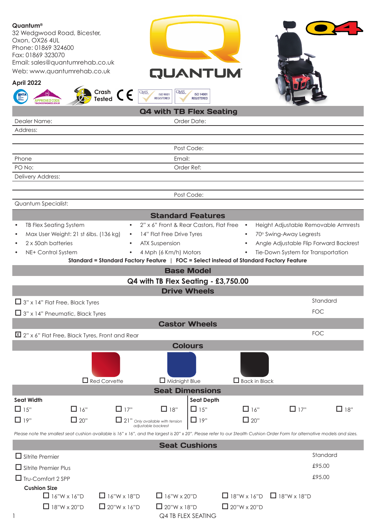| Quantum®<br>32 Wedgwood Road, Bicester,<br>Oxon, OX26 4UL<br>Phone: 01869 324600<br>Fax: 01869 323070<br>Email: sales@quantumrehab.co.uk<br>Web: www.quantumrehab.co.uk<br>April 2022<br>Crash $\epsilon$<br>Tested<br><b>APPROVED CODE</b> | <b>QUANTUM</b><br><b>QMS</b><br><u>QMS</u><br><b>ISO 9001</b><br><b>ISO 14001</b><br><b>REGISTERED</b><br><b>REGISTERED</b> |                      |                                                                 |            |  |  |  |
|---------------------------------------------------------------------------------------------------------------------------------------------------------------------------------------------------------------------------------------------|-----------------------------------------------------------------------------------------------------------------------------|----------------------|-----------------------------------------------------------------|------------|--|--|--|
|                                                                                                                                                                                                                                             | <b>Q4 with TB Flex Seating</b>                                                                                              |                      |                                                                 |            |  |  |  |
| Dealer Name:                                                                                                                                                                                                                                | Order Date:                                                                                                                 |                      |                                                                 |            |  |  |  |
| Address:                                                                                                                                                                                                                                    |                                                                                                                             |                      |                                                                 |            |  |  |  |
|                                                                                                                                                                                                                                             |                                                                                                                             |                      |                                                                 |            |  |  |  |
|                                                                                                                                                                                                                                             | Post Code:                                                                                                                  |                      |                                                                 |            |  |  |  |
| Phone                                                                                                                                                                                                                                       | Email:                                                                                                                      |                      |                                                                 |            |  |  |  |
| PO No:                                                                                                                                                                                                                                      | Order Ref:                                                                                                                  |                      |                                                                 |            |  |  |  |
| Delivery Address:                                                                                                                                                                                                                           |                                                                                                                             |                      |                                                                 |            |  |  |  |
|                                                                                                                                                                                                                                             | Post Code:                                                                                                                  |                      |                                                                 |            |  |  |  |
| Quantum Specialist:                                                                                                                                                                                                                         |                                                                                                                             |                      |                                                                 |            |  |  |  |
|                                                                                                                                                                                                                                             | <b>Standard Features</b>                                                                                                    |                      |                                                                 |            |  |  |  |
|                                                                                                                                                                                                                                             |                                                                                                                             |                      |                                                                 |            |  |  |  |
| TB Flex Seating System<br>Max User Weight: 21 st 6lbs. (136 kg)                                                                                                                                                                             | 2" x 6" Front & Rear Castors, Flat Free .<br>14" Flat Free Drive Tyres<br>$\bullet$                                         |                      | Height Adjustable Removable Armrests<br>70° Swing-Away Legrests |            |  |  |  |
| 2 x 50ah batteries<br>$\bullet$                                                                                                                                                                                                             | <b>ATX Suspension</b>                                                                                                       |                      | Angle Adjustable Flip Forward Backrest                          |            |  |  |  |
| NE+ Control System                                                                                                                                                                                                                          | 4 Mph (6 Km/h) Motors<br>$\bullet$                                                                                          | $\bullet$            | Tie-Down System for Transportation                              |            |  |  |  |
|                                                                                                                                                                                                                                             | Standard = Standard Factory Feature   FOC = Select instead of Standard Factory Feature                                      |                      |                                                                 |            |  |  |  |
|                                                                                                                                                                                                                                             | <b>Base Model</b>                                                                                                           |                      |                                                                 |            |  |  |  |
|                                                                                                                                                                                                                                             | Q4 with TB Flex Seating - £3,750.00                                                                                         |                      |                                                                 |            |  |  |  |
|                                                                                                                                                                                                                                             | <b>Drive Wheels</b>                                                                                                         |                      |                                                                 |            |  |  |  |
|                                                                                                                                                                                                                                             |                                                                                                                             |                      |                                                                 | Standard   |  |  |  |
| $\Box$ 3" x 14" Flat Free, Black Tyres                                                                                                                                                                                                      |                                                                                                                             |                      |                                                                 |            |  |  |  |
| $\Box$ 3" x 14" Pneumatic, Black Tyres                                                                                                                                                                                                      |                                                                                                                             |                      |                                                                 | <b>FOC</b> |  |  |  |
|                                                                                                                                                                                                                                             | <b>Castor Wheels</b>                                                                                                        |                      |                                                                 |            |  |  |  |
| $\overline{\mathrm{M}}$ 2" x 6" Flat Free, Black Tyres, Front and Rear                                                                                                                                                                      |                                                                                                                             |                      |                                                                 | <b>FOC</b> |  |  |  |
|                                                                                                                                                                                                                                             | <b>Colours</b>                                                                                                              |                      |                                                                 |            |  |  |  |
|                                                                                                                                                                                                                                             |                                                                                                                             |                      |                                                                 |            |  |  |  |
| $\Box$ Red Corvette                                                                                                                                                                                                                         | $\Box$ Midnight Blue                                                                                                        | $\Box$ Back in Black |                                                                 |            |  |  |  |
| <b>Seat Dimensions</b>                                                                                                                                                                                                                      |                                                                                                                             |                      |                                                                 |            |  |  |  |
| <b>Seat Width</b>                                                                                                                                                                                                                           |                                                                                                                             | <b>Seat Depth</b>    |                                                                 |            |  |  |  |
| $\Box$ 16"<br>$\Box$ 17"<br>$\Box$ 15"                                                                                                                                                                                                      | $\Box$ 15"<br>$\Box$ 18"                                                                                                    | $\Box$ 16"           | $\Box$ 17"                                                      | $\Box$ 18" |  |  |  |
| $\Box$ 20"<br>$\Box$ 19"                                                                                                                                                                                                                    | $\Box$ 19"<br>21" Only available with tension                                                                               | $\Box$ 20"           |                                                                 |            |  |  |  |
|                                                                                                                                                                                                                                             | adjustable backrest                                                                                                         |                      |                                                                 |            |  |  |  |
| Please note the smallest seat cushion available is 16" x 16", and the largest is 20" x 20". Please refer to our Stealth Cushion Order Form for alternative models and sizes.                                                                |                                                                                                                             |                      |                                                                 |            |  |  |  |
|                                                                                                                                                                                                                                             | <b>Seat Cushions</b>                                                                                                        |                      |                                                                 |            |  |  |  |
| $\Box$ Sitrite Premier                                                                                                                                                                                                                      |                                                                                                                             |                      |                                                                 | Standard   |  |  |  |
| $\Box$ Sitrite Premier Plus                                                                                                                                                                                                                 |                                                                                                                             |                      |                                                                 | £95.00     |  |  |  |
| $\Box$ Tru-Comfort 2 SPP                                                                                                                                                                                                                    |                                                                                                                             |                      |                                                                 | £95.00     |  |  |  |
| <b>Cushion Size</b>                                                                                                                                                                                                                         |                                                                                                                             |                      |                                                                 |            |  |  |  |

 $\Box$  16"W x 16"D  $\Box$  16"W x 18"D  $\Box$  16"W x 20"D  $\Box$  18"W x 16"D  $\Box$  18"W x 18"D  $\Box$  18"W x 20"D  $\Box$  20"W x 16"D  $\Box$  20"W x 18"D  $\Box$  20"W x 20"D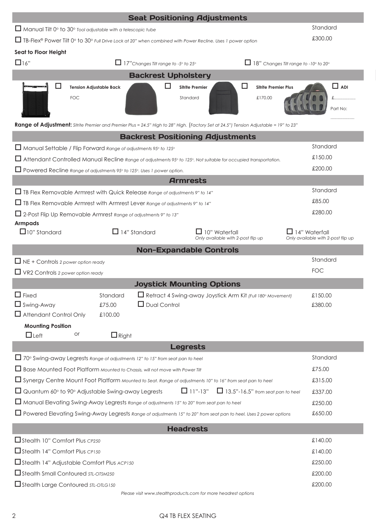|                                                                                                                                                                                                                   |                                | <b>Seat Positioning Adjustments</b>                        |                        |                                                     |                                                                  |                                                     |            |  |
|-------------------------------------------------------------------------------------------------------------------------------------------------------------------------------------------------------------------|--------------------------------|------------------------------------------------------------|------------------------|-----------------------------------------------------|------------------------------------------------------------------|-----------------------------------------------------|------------|--|
| $\Box$ Manual Tilt 0° to 30° Tool adjustable with a telescopic tube                                                                                                                                               |                                |                                                            |                        |                                                     |                                                                  | Standard                                            |            |  |
| □ TB-Flex® Power Tilt 0° to 30° Full Drive Lock at 20" when combined with Power Recline. Uses 1 power option                                                                                                      |                                |                                                            |                        |                                                     |                                                                  |                                                     | £300.00    |  |
| Seat to Floor Height                                                                                                                                                                                              |                                |                                                            |                        |                                                     |                                                                  |                                                     |            |  |
| $\Box$ 16"                                                                                                                                                                                                        |                                | 17"Changes Tilt range to -5° to 25°                        |                        |                                                     | $\Box$ 18" Changes Tilt range to -10 $^{\circ}$ to 20 $^{\circ}$ |                                                     |            |  |
|                                                                                                                                                                                                                   |                                | <b>Backrest Upholstery</b>                                 |                        |                                                     |                                                                  |                                                     |            |  |
|                                                                                                                                                                                                                   | <b>Tension Adjustable Back</b> |                                                            | <b>Sitrite Premier</b> | □                                                   | <b>Sitrite Premier Plus</b>                                      |                                                     | $\Box$ ADI |  |
| <b>FOC</b>                                                                                                                                                                                                        |                                |                                                            | Standard               |                                                     | £170.00                                                          |                                                     | £          |  |
|                                                                                                                                                                                                                   |                                |                                                            |                        |                                                     |                                                                  |                                                     | Part No:   |  |
|                                                                                                                                                                                                                   |                                |                                                            |                        |                                                     |                                                                  |                                                     |            |  |
| Range of Adjustment: Sitrite Premier and Premier Plus = 24.5" High to 28" High. (Factory Set at 24.5") Tension Adjustable = 19" to 23"<br><b>Backrest Positioning Adjustments</b>                                 |                                |                                                            |                        |                                                     |                                                                  |                                                     |            |  |
| $\Box$ Manual Settable / Flip Forward Range of adjustments 95° to 125°                                                                                                                                            |                                |                                                            |                        |                                                     |                                                                  | Standard                                            |            |  |
| □ Attendant Controlled Manual Recline Range of adjustments 95° to 125°. Not suitable for occupied transportation.                                                                                                 |                                |                                                            |                        |                                                     |                                                                  | £150.00                                             |            |  |
| □ Powered Recline Range of adjustments 95° to 125°. Uses 1 power option.                                                                                                                                          |                                |                                                            |                        |                                                     |                                                                  | £200.00                                             |            |  |
|                                                                                                                                                                                                                   |                                |                                                            | <b>Armrests</b>        |                                                     |                                                                  |                                                     |            |  |
| $\Box$ TB Flex Removable Armrest with Quick Release Range of adjustments 9" to 14"                                                                                                                                |                                |                                                            |                        |                                                     |                                                                  | Standard                                            |            |  |
| □ TB Flex Removable Armrest with Armrest Lever Range of adjustments 9" to 14"                                                                                                                                     |                                |                                                            |                        |                                                     |                                                                  | £85.00                                              |            |  |
| □ 2-Post Flip Up Removable Armrest Range of adjustments 9" to 13"                                                                                                                                                 |                                |                                                            |                        |                                                     |                                                                  | £280.00                                             |            |  |
| <b>Armpads</b>                                                                                                                                                                                                    |                                |                                                            |                        |                                                     |                                                                  |                                                     |            |  |
| $\Box$ 10" Standard                                                                                                                                                                                               |                                | $\Box$ 14" Standard                                        |                        | 10" Waterfall<br>Only available with 2-post flip up |                                                                  | 14" Waterfall<br>Only available with 2-post flip up |            |  |
| <b>Non-Expandable Controls</b>                                                                                                                                                                                    |                                |                                                            |                        |                                                     |                                                                  |                                                     |            |  |
| $\Box$ NE + Controls 2 power option ready                                                                                                                                                                         |                                |                                                            |                        |                                                     |                                                                  | Standard                                            |            |  |
| $\Box$ VR2 Controls 2 power option ready                                                                                                                                                                          |                                |                                                            |                        |                                                     |                                                                  | <b>FOC</b>                                          |            |  |
|                                                                                                                                                                                                                   |                                | <b>Joystick Mounting Options</b>                           |                        |                                                     |                                                                  |                                                     |            |  |
| $\Box$ Fixed                                                                                                                                                                                                      | Standard                       | Retract 4 Swing-away Joystick Arm Kit (Full 180° Movement) |                        |                                                     |                                                                  | £150.00                                             |            |  |
| $\Box$ Swing-Away                                                                                                                                                                                                 | £75.00                         | $\Box$ Dual Control                                        |                        |                                                     |                                                                  | £380.00                                             |            |  |
| $\Box$ Attendant Control Only                                                                                                                                                                                     | £100.00                        |                                                            |                        |                                                     |                                                                  |                                                     |            |  |
| <b>Mounting Position</b>                                                                                                                                                                                          |                                |                                                            |                        |                                                     |                                                                  |                                                     |            |  |
| or<br>$\Box$ Left                                                                                                                                                                                                 | $\Box$ Right                   |                                                            |                        |                                                     |                                                                  |                                                     |            |  |
|                                                                                                                                                                                                                   |                                |                                                            | <b>Legrests</b>        |                                                     |                                                                  |                                                     |            |  |
| □ 70° Swing-away Legrests Range of adjustments 12" to 15" from seat pan to heel                                                                                                                                   |                                |                                                            |                        |                                                     |                                                                  | Standard                                            |            |  |
| □ Base Mounted Foot Platform Mounted to Chassis, will not move with Power Tilt                                                                                                                                    |                                |                                                            |                        |                                                     |                                                                  | £75.00                                              |            |  |
| Synergy Centre Mount Foot Platform Mounted to Seat. Range of adjustments 10" to 16" from seat pan to heel                                                                                                         |                                |                                                            |                        |                                                     | £315.00                                                          |                                                     |            |  |
| $\Box$ 11"-13"<br>$\Box$ 13.5"-16.5" from seat pan to heel<br>□ Quantum 60° to 90° Adjustable Swing-away Legrests                                                                                                 |                                |                                                            |                        |                                                     | £337.00                                                          |                                                     |            |  |
| Manual Elevating Swing-Away Legrests Range of adjustments 15" to 20" from seat pan to heel<br>□ Powered Elevating Swing-Away Legrests Range of adjustments 15" to 20" from seat pan to heel. Uses 2 power options |                                |                                                            |                        |                                                     | £250.00                                                          |                                                     |            |  |
|                                                                                                                                                                                                                   |                                |                                                            |                        |                                                     |                                                                  | £650.00                                             |            |  |
| <b>Headrests</b>                                                                                                                                                                                                  |                                |                                                            |                        |                                                     |                                                                  |                                                     |            |  |
| Stealth 10" Comfort Plus CP250                                                                                                                                                                                    |                                |                                                            |                        |                                                     |                                                                  | £140.00                                             |            |  |
| Stealth 14" Comfort Plus CP150                                                                                                                                                                                    |                                |                                                            |                        |                                                     |                                                                  | £140.00                                             |            |  |
| Stealth 14" Adjustable Comfort Plus ACP150                                                                                                                                                                        |                                |                                                            |                        |                                                     |                                                                  | £250.00                                             |            |  |
| Stealth Small Contoured STL-OTSM250                                                                                                                                                                               |                                |                                                            |                        |                                                     |                                                                  | £200.00                                             |            |  |
| Stealth Large Contoured STL-OTLG150                                                                                                                                                                               |                                |                                                            |                        |                                                     |                                                                  | £200.00                                             |            |  |
| Please visit www.stealthproducts.com for more headrest options                                                                                                                                                    |                                |                                                            |                        |                                                     |                                                                  |                                                     |            |  |

## 2 Q4 TB FLEX SEATING